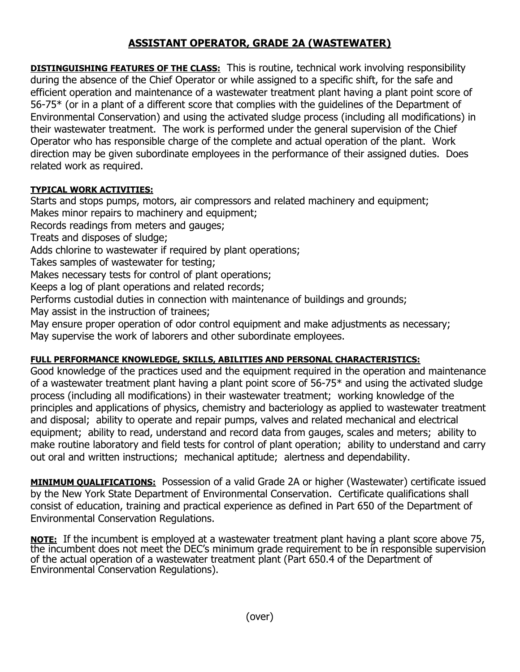## **ASSISTANT OPERATOR, GRADE 2A (WASTEWATER)**

**DISTINGUISHING FEATURES OF THE CLASS:** This is routine, technical work involving responsibility during the absence of the Chief Operator or while assigned to a specific shift, for the safe and efficient operation and maintenance of a wastewater treatment plant having a plant point score of 56-75\* (or in a plant of a different score that complies with the guidelines of the Department of Environmental Conservation) and using the activated sludge process (including all modifications) in their wastewater treatment. The work is performed under the general supervision of the Chief Operator who has responsible charge of the complete and actual operation of the plant. Work direction may be given subordinate employees in the performance of their assigned duties. Does related work as required.

## **TYPICAL WORK ACTIVITIES:**

Starts and stops pumps, motors, air compressors and related machinery and equipment; Makes minor repairs to machinery and equipment;

Records readings from meters and gauges;

Treats and disposes of sludge;

Adds chlorine to wastewater if required by plant operations;

Takes samples of wastewater for testing;

Makes necessary tests for control of plant operations;

Keeps a log of plant operations and related records;

Performs custodial duties in connection with maintenance of buildings and grounds;

May assist in the instruction of trainees;

May ensure proper operation of odor control equipment and make adjustments as necessary; May supervise the work of laborers and other subordinate employees.

## **FULL PERFORMANCE KNOWLEDGE, SKILLS, ABILITIES AND PERSONAL CHARACTERISTICS:**

Good knowledge of the practices used and the equipment required in the operation and maintenance of a wastewater treatment plant having a plant point score of 56-75\* and using the activated sludge process (including all modifications) in their wastewater treatment; working knowledge of the principles and applications of physics, chemistry and bacteriology as applied to wastewater treatment and disposal; ability to operate and repair pumps, valves and related mechanical and electrical equipment; ability to read, understand and record data from gauges, scales and meters; ability to make routine laboratory and field tests for control of plant operation; ability to understand and carry out oral and written instructions; mechanical aptitude; alertness and dependability.

**MINIMUM QUALIFICATIONS:** Possession of a valid Grade 2A or higher (Wastewater) certificate issued by the New York State Department of Environmental Conservation. Certificate qualifications shall consist of education, training and practical experience as defined in Part 650 of the Department of Environmental Conservation Regulations.

**NOTE:** If the incumbent is employed at a wastewater treatment plant having a plant score above 75, the incumbent does not meet the DEC's minimum grade requirement to be in responsible supervision of the actual operation of a wastewater treatment plant (Part 650.4 of the Department of Environmental Conservation Regulations).